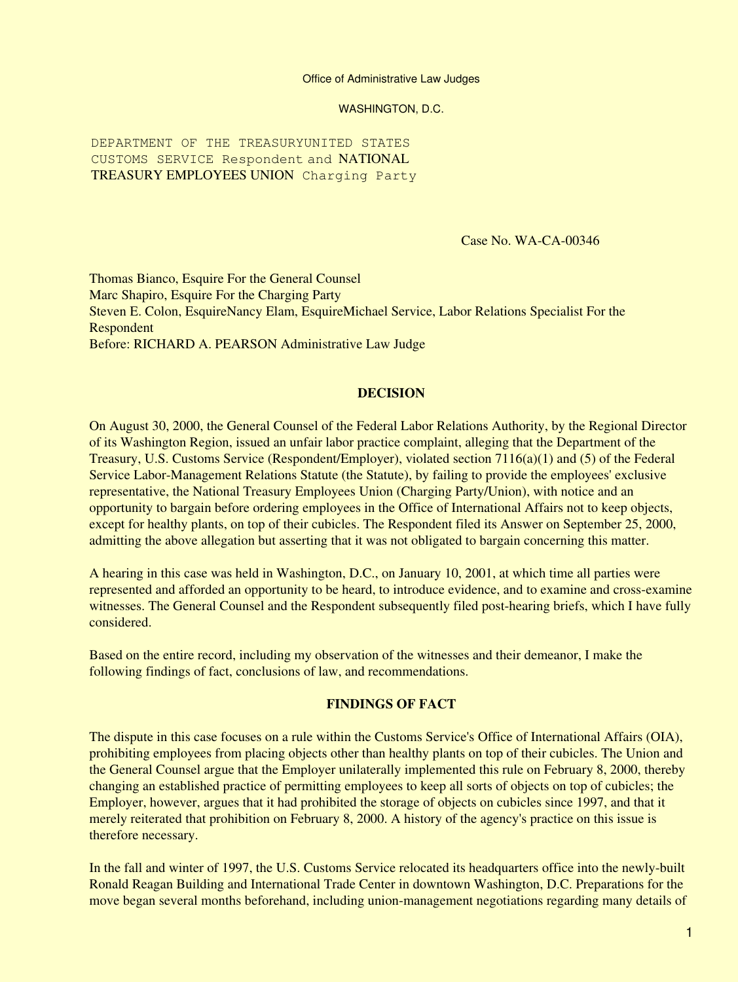#### Office of Administrative Law Judges

WASHINGTON, D.C.

DEPARTMENT OF THE TREASURYUNITED STATES CUSTOMS SERVICE Respondent and NATIONAL TREASURY EMPLOYEES UNION Charging Party

Case No. WA-CA-00346

Thomas Bianco, Esquire For the General Counsel Marc Shapiro, Esquire For the Charging Party Steven E. Colon, EsquireNancy Elam, EsquireMichael Service, Labor Relations Specialist For the Respondent Before: RICHARD A. PEARSON Administrative Law Judge

## **DECISION**

On August 30, 2000, the General Counsel of the Federal Labor Relations Authority, by the Regional Director of its Washington Region, issued an unfair labor practice complaint, alleging that the Department of the Treasury, U.S. Customs Service (Respondent/Employer), violated section 7116(a)(1) and (5) of the Federal Service Labor-Management Relations Statute (the Statute), by failing to provide the employees' exclusive representative, the National Treasury Employees Union (Charging Party/Union), with notice and an opportunity to bargain before ordering employees in the Office of International Affairs not to keep objects, except for healthy plants, on top of their cubicles. The Respondent filed its Answer on September 25, 2000, admitting the above allegation but asserting that it was not obligated to bargain concerning this matter.

A hearing in this case was held in Washington, D.C., on January 10, 2001, at which time all parties were represented and afforded an opportunity to be heard, to introduce evidence, and to examine and cross-examine witnesses. The General Counsel and the Respondent subsequently filed post-hearing briefs, which I have fully considered.

Based on the entire record, including my observation of the witnesses and their demeanor, I make the following findings of fact, conclusions of law, and recommendations.

# **FINDINGS OF FACT**

The dispute in this case focuses on a rule within the Customs Service's Office of International Affairs (OIA), prohibiting employees from placing objects other than healthy plants on top of their cubicles. The Union and the General Counsel argue that the Employer unilaterally implemented this rule on February 8, 2000, thereby changing an established practice of permitting employees to keep all sorts of objects on top of cubicles; the Employer, however, argues that it had prohibited the storage of objects on cubicles since 1997, and that it merely reiterated that prohibition on February 8, 2000. A history of the agency's practice on this issue is therefore necessary.

In the fall and winter of 1997, the U.S. Customs Service relocated its headquarters office into the newly-built Ronald Reagan Building and International Trade Center in downtown Washington, D.C. Preparations for the move began several months beforehand, including union-management negotiations regarding many details of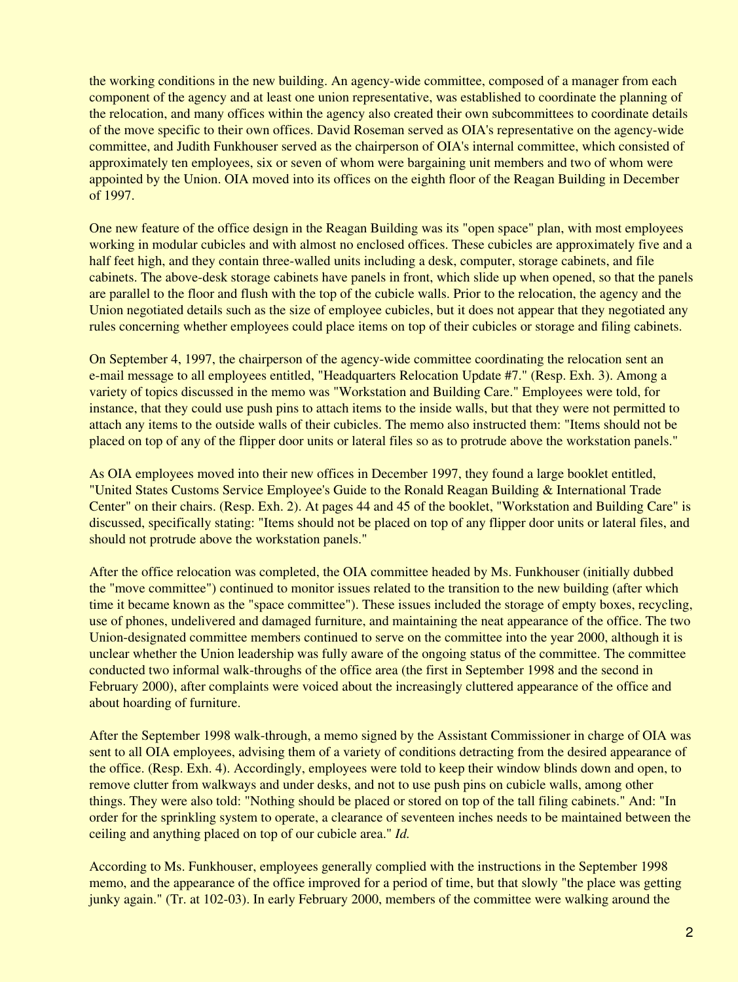the working conditions in the new building. An agency-wide committee, composed of a manager from each component of the agency and at least one union representative, was established to coordinate the planning of the relocation, and many offices within the agency also created their own subcommittees to coordinate details of the move specific to their own offices. David Roseman served as OIA's representative on the agency-wide committee, and Judith Funkhouser served as the chairperson of OIA's internal committee, which consisted of approximately ten employees, six or seven of whom were bargaining unit members and two of whom were appointed by the Union. OIA moved into its offices on the eighth floor of the Reagan Building in December of 1997.

One new feature of the office design in the Reagan Building was its "open space" plan, with most employees working in modular cubicles and with almost no enclosed offices. These cubicles are approximately five and a half feet high, and they contain three-walled units including a desk, computer, storage cabinets, and file cabinets. The above-desk storage cabinets have panels in front, which slide up when opened, so that the panels are parallel to the floor and flush with the top of the cubicle walls. Prior to the relocation, the agency and the Union negotiated details such as the size of employee cubicles, but it does not appear that they negotiated any rules concerning whether employees could place items on top of their cubicles or storage and filing cabinets.

On September 4, 1997, the chairperson of the agency-wide committee coordinating the relocation sent an e-mail message to all employees entitled, "Headquarters Relocation Update #7." (Resp. Exh. 3). Among a variety of topics discussed in the memo was "Workstation and Building Care." Employees were told, for instance, that they could use push pins to attach items to the inside walls, but that they were not permitted to attach any items to the outside walls of their cubicles. The memo also instructed them: "Items should not be placed on top of any of the flipper door units or lateral files so as to protrude above the workstation panels."

As OIA employees moved into their new offices in December 1997, they found a large booklet entitled, "United States Customs Service Employee's Guide to the Ronald Reagan Building & International Trade Center" on their chairs. (Resp. Exh. 2). At pages 44 and 45 of the booklet, "Workstation and Building Care" is discussed, specifically stating: "Items should not be placed on top of any flipper door units or lateral files, and should not protrude above the workstation panels."

After the office relocation was completed, the OIA committee headed by Ms. Funkhouser (initially dubbed the "move committee") continued to monitor issues related to the transition to the new building (after which time it became known as the "space committee"). These issues included the storage of empty boxes, recycling, use of phones, undelivered and damaged furniture, and maintaining the neat appearance of the office. The two Union-designated committee members continued to serve on the committee into the year 2000, although it is unclear whether the Union leadership was fully aware of the ongoing status of the committee. The committee conducted two informal walk-throughs of the office area (the first in September 1998 and the second in February 2000), after complaints were voiced about the increasingly cluttered appearance of the office and about hoarding of furniture.

After the September 1998 walk-through, a memo signed by the Assistant Commissioner in charge of OIA was sent to all OIA employees, advising them of a variety of conditions detracting from the desired appearance of the office. (Resp. Exh. 4). Accordingly, employees were told to keep their window blinds down and open, to remove clutter from walkways and under desks, and not to use push pins on cubicle walls, among other things. They were also told: "Nothing should be placed or stored on top of the tall filing cabinets." And: "In order for the sprinkling system to operate, a clearance of seventeen inches needs to be maintained between the ceiling and anything placed on top of our cubicle area." *Id.*

According to Ms. Funkhouser, employees generally complied with the instructions in the September 1998 memo, and the appearance of the office improved for a period of time, but that slowly "the place was getting junky again." (Tr. at 102-03). In early February 2000, members of the committee were walking around the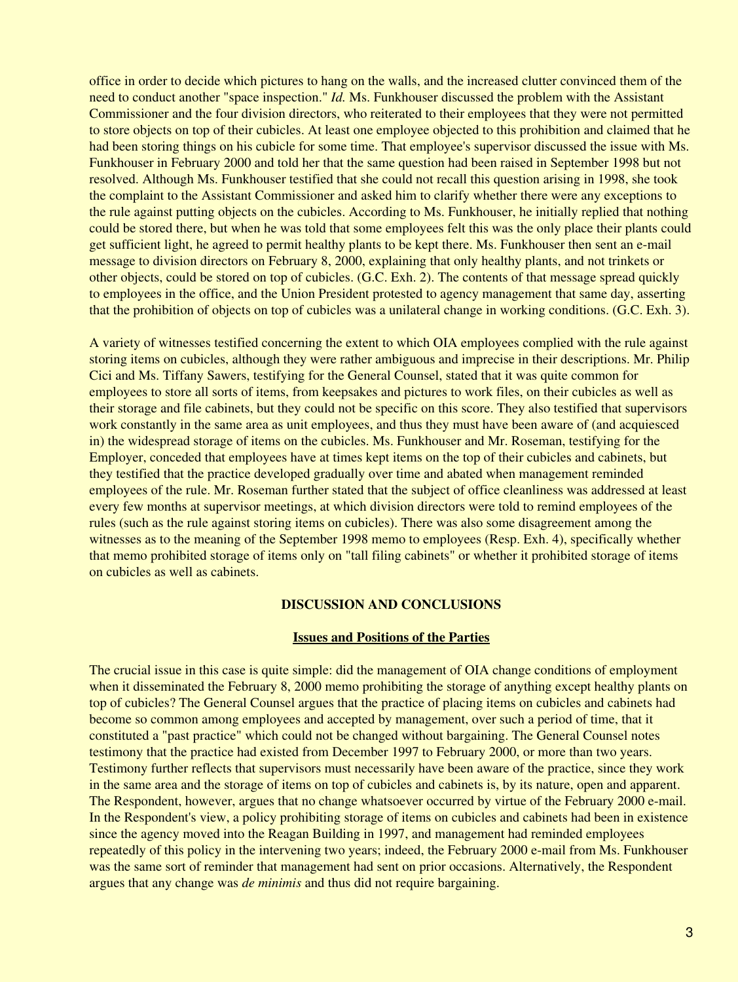office in order to decide which pictures to hang on the walls, and the increased clutter convinced them of the need to conduct another "space inspection." *Id.* Ms. Funkhouser discussed the problem with the Assistant Commissioner and the four division directors, who reiterated to their employees that they were not permitted to store objects on top of their cubicles. At least one employee objected to this prohibition and claimed that he had been storing things on his cubicle for some time. That employee's supervisor discussed the issue with Ms. Funkhouser in February 2000 and told her that the same question had been raised in September 1998 but not resolved. Although Ms. Funkhouser testified that she could not recall this question arising in 1998, she took the complaint to the Assistant Commissioner and asked him to clarify whether there were any exceptions to the rule against putting objects on the cubicles. According to Ms. Funkhouser, he initially replied that nothing could be stored there, but when he was told that some employees felt this was the only place their plants could get sufficient light, he agreed to permit healthy plants to be kept there. Ms. Funkhouser then sent an e-mail message to division directors on February 8, 2000, explaining that only healthy plants, and not trinkets or other objects, could be stored on top of cubicles. (G.C. Exh. 2). The contents of that message spread quickly to employees in the office, and the Union President protested to agency management that same day, asserting that the prohibition of objects on top of cubicles was a unilateral change in working conditions. (G.C. Exh. 3).

A variety of witnesses testified concerning the extent to which OIA employees complied with the rule against storing items on cubicles, although they were rather ambiguous and imprecise in their descriptions. Mr. Philip Cici and Ms. Tiffany Sawers, testifying for the General Counsel, stated that it was quite common for employees to store all sorts of items, from keepsakes and pictures to work files, on their cubicles as well as their storage and file cabinets, but they could not be specific on this score. They also testified that supervisors work constantly in the same area as unit employees, and thus they must have been aware of (and acquiesced in) the widespread storage of items on the cubicles. Ms. Funkhouser and Mr. Roseman, testifying for the Employer, conceded that employees have at times kept items on the top of their cubicles and cabinets, but they testified that the practice developed gradually over time and abated when management reminded employees of the rule. Mr. Roseman further stated that the subject of office cleanliness was addressed at least every few months at supervisor meetings, at which division directors were told to remind employees of the rules (such as the rule against storing items on cubicles). There was also some disagreement among the witnesses as to the meaning of the September 1998 memo to employees (Resp. Exh. 4), specifically whether that memo prohibited storage of items only on "tall filing cabinets" or whether it prohibited storage of items on cubicles as well as cabinets.

### **DISCUSSION AND CONCLUSIONS**

# **Issues and Positions of the Parties**

The crucial issue in this case is quite simple: did the management of OIA change conditions of employment when it disseminated the February 8, 2000 memo prohibiting the storage of anything except healthy plants on top of cubicles? The General Counsel argues that the practice of placing items on cubicles and cabinets had become so common among employees and accepted by management, over such a period of time, that it constituted a "past practice" which could not be changed without bargaining. The General Counsel notes testimony that the practice had existed from December 1997 to February 2000, or more than two years. Testimony further reflects that supervisors must necessarily have been aware of the practice, since they work in the same area and the storage of items on top of cubicles and cabinets is, by its nature, open and apparent. The Respondent, however, argues that no change whatsoever occurred by virtue of the February 2000 e-mail. In the Respondent's view, a policy prohibiting storage of items on cubicles and cabinets had been in existence since the agency moved into the Reagan Building in 1997, and management had reminded employees repeatedly of this policy in the intervening two years; indeed, the February 2000 e-mail from Ms. Funkhouser was the same sort of reminder that management had sent on prior occasions. Alternatively, the Respondent argues that any change was *de minimis* and thus did not require bargaining.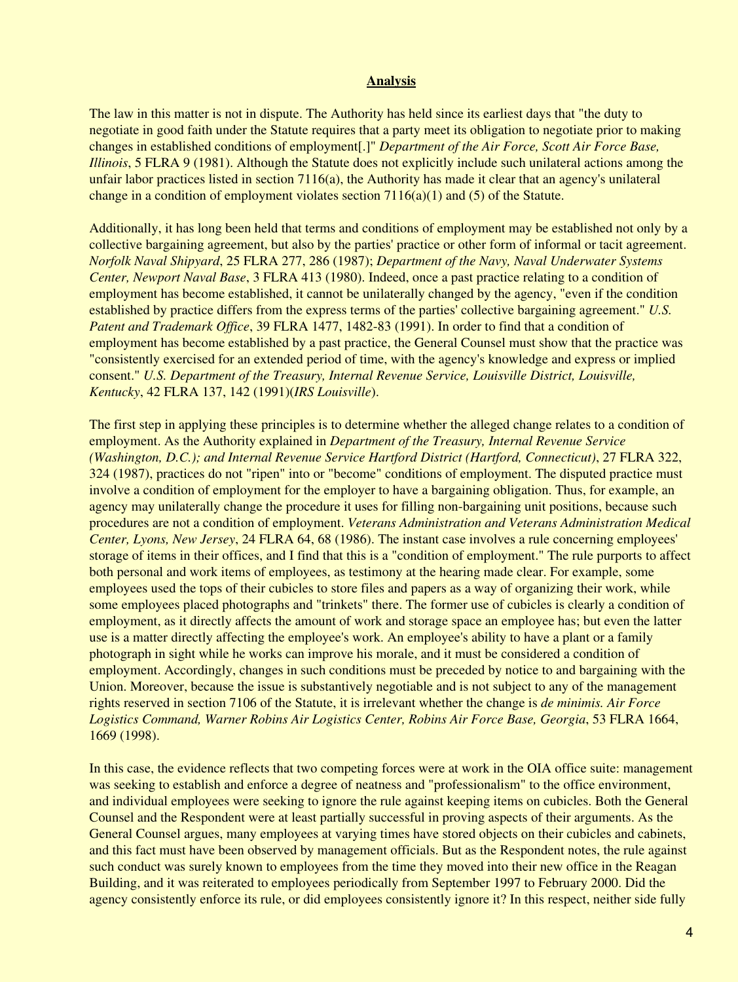## **Analysis**

The law in this matter is not in dispute. The Authority has held since its earliest days that "the duty to negotiate in good faith under the Statute requires that a party meet its obligation to negotiate prior to making changes in established conditions of employment[.]" *Department of the Air Force, Scott Air Force Base, Illinois*, 5 FLRA 9 (1981). Although the Statute does not explicitly include such unilateral actions among the unfair labor practices listed in section 7116(a), the Authority has made it clear that an agency's unilateral change in a condition of employment violates section  $7116(a)(1)$  and  $(5)$  of the Statute.

Additionally, it has long been held that terms and conditions of employment may be established not only by a collective bargaining agreement, but also by the parties' practice or other form of informal or tacit agreement. *Norfolk Naval Shipyard*, 25 FLRA 277, 286 (1987); *Department of the Navy, Naval Underwater Systems Center, Newport Naval Base*, 3 FLRA 413 (1980). Indeed, once a past practice relating to a condition of employment has become established, it cannot be unilaterally changed by the agency, "even if the condition established by practice differs from the express terms of the parties' collective bargaining agreement." *U.S. Patent and Trademark Office*, 39 FLRA 1477, 1482-83 (1991). In order to find that a condition of employment has become established by a past practice, the General Counsel must show that the practice was "consistently exercised for an extended period of time, with the agency's knowledge and express or implied consent." *U.S. Department of the Treasury, Internal Revenue Service, Louisville District, Louisville, Kentucky*, 42 FLRA 137, 142 (1991)(*IRS Louisville*).

The first step in applying these principles is to determine whether the alleged change relates to a condition of employment. As the Authority explained in *Department of the Treasury, Internal Revenue Service (Washington, D.C.); and Internal Revenue Service Hartford District (Hartford, Connecticut)*, 27 FLRA 322, 324 (1987), practices do not "ripen" into or "become" conditions of employment. The disputed practice must involve a condition of employment for the employer to have a bargaining obligation. Thus, for example, an agency may unilaterally change the procedure it uses for filling non-bargaining unit positions, because such procedures are not a condition of employment. *Veterans Administration and Veterans Administration Medical Center, Lyons, New Jersey*, 24 FLRA 64, 68 (1986). The instant case involves a rule concerning employees' storage of items in their offices, and I find that this is a "condition of employment." The rule purports to affect both personal and work items of employees, as testimony at the hearing made clear. For example, some employees used the tops of their cubicles to store files and papers as a way of organizing their work, while some employees placed photographs and "trinkets" there. The former use of cubicles is clearly a condition of employment, as it directly affects the amount of work and storage space an employee has; but even the latter use is a matter directly affecting the employee's work. An employee's ability to have a plant or a family photograph in sight while he works can improve his morale, and it must be considered a condition of employment. Accordingly, changes in such conditions must be preceded by notice to and bargaining with the Union. Moreover, because the issue is substantively negotiable and is not subject to any of the management rights reserved in section 7106 of the Statute, it is irrelevant whether the change is *de minimis. Air Force Logistics Command, Warner Robins Air Logistics Center, Robins Air Force Base, Georgia*, 53 FLRA 1664, 1669 (1998).

In this case, the evidence reflects that two competing forces were at work in the OIA office suite: management was seeking to establish and enforce a degree of neatness and "professionalism" to the office environment, and individual employees were seeking to ignore the rule against keeping items on cubicles. Both the General Counsel and the Respondent were at least partially successful in proving aspects of their arguments. As the General Counsel argues, many employees at varying times have stored objects on their cubicles and cabinets, and this fact must have been observed by management officials. But as the Respondent notes, the rule against such conduct was surely known to employees from the time they moved into their new office in the Reagan Building, and it was reiterated to employees periodically from September 1997 to February 2000. Did the agency consistently enforce its rule, or did employees consistently ignore it? In this respect, neither side fully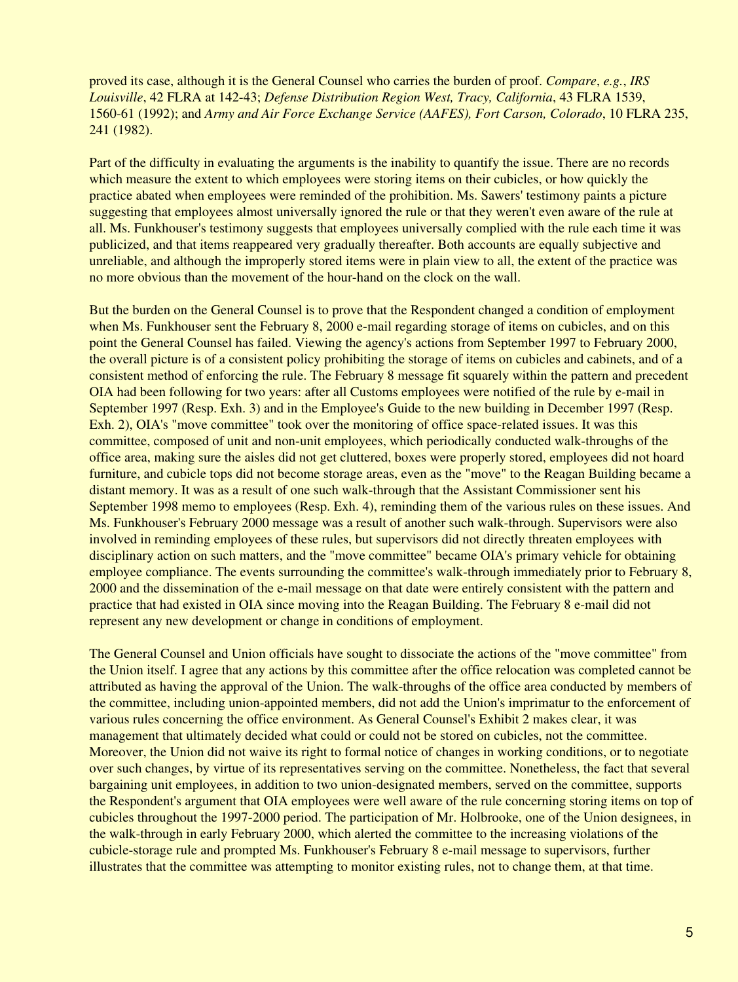proved its case, although it is the General Counsel who carries the burden of proof. *Compare*, *e.g.*, *IRS Louisville*, 42 FLRA at 142-43; *Defense Distribution Region West, Tracy, California*, 43 FLRA 1539, 1560-61 (1992); and *Army and Air Force Exchange Service (AAFES), Fort Carson, Colorado*, 10 FLRA 235, 241 (1982).

Part of the difficulty in evaluating the arguments is the inability to quantify the issue. There are no records which measure the extent to which employees were storing items on their cubicles, or how quickly the practice abated when employees were reminded of the prohibition. Ms. Sawers' testimony paints a picture suggesting that employees almost universally ignored the rule or that they weren't even aware of the rule at all. Ms. Funkhouser's testimony suggests that employees universally complied with the rule each time it was publicized, and that items reappeared very gradually thereafter. Both accounts are equally subjective and unreliable, and although the improperly stored items were in plain view to all, the extent of the practice was no more obvious than the movement of the hour-hand on the clock on the wall.

But the burden on the General Counsel is to prove that the Respondent changed a condition of employment when Ms. Funkhouser sent the February 8, 2000 e-mail regarding storage of items on cubicles, and on this point the General Counsel has failed. Viewing the agency's actions from September 1997 to February 2000, the overall picture is of a consistent policy prohibiting the storage of items on cubicles and cabinets, and of a consistent method of enforcing the rule. The February 8 message fit squarely within the pattern and precedent OIA had been following for two years: after all Customs employees were notified of the rule by e-mail in September 1997 (Resp. Exh. 3) and in the Employee's Guide to the new building in December 1997 (Resp. Exh. 2), OIA's "move committee" took over the monitoring of office space-related issues. It was this committee, composed of unit and non-unit employees, which periodically conducted walk-throughs of the office area, making sure the aisles did not get cluttered, boxes were properly stored, employees did not hoard furniture, and cubicle tops did not become storage areas, even as the "move" to the Reagan Building became a distant memory. It was as a result of one such walk-through that the Assistant Commissioner sent his September 1998 memo to employees (Resp. Exh. 4), reminding them of the various rules on these issues. And Ms. Funkhouser's February 2000 message was a result of another such walk-through. Supervisors were also involved in reminding employees of these rules, but supervisors did not directly threaten employees with disciplinary action on such matters, and the "move committee" became OIA's primary vehicle for obtaining employee compliance. The events surrounding the committee's walk-through immediately prior to February 8, 2000 and the dissemination of the e-mail message on that date were entirely consistent with the pattern and practice that had existed in OIA since moving into the Reagan Building. The February 8 e-mail did not represent any new development or change in conditions of employment.

The General Counsel and Union officials have sought to dissociate the actions of the "move committee" from the Union itself. I agree that any actions by this committee after the office relocation was completed cannot be attributed as having the approval of the Union. The walk-throughs of the office area conducted by members of the committee, including union-appointed members, did not add the Union's imprimatur to the enforcement of various rules concerning the office environment. As General Counsel's Exhibit 2 makes clear, it was management that ultimately decided what could or could not be stored on cubicles, not the committee. Moreover, the Union did not waive its right to formal notice of changes in working conditions, or to negotiate over such changes, by virtue of its representatives serving on the committee. Nonetheless, the fact that several bargaining unit employees, in addition to two union-designated members, served on the committee, supports the Respondent's argument that OIA employees were well aware of the rule concerning storing items on top of cubicles throughout the 1997-2000 period. The participation of Mr. Holbrooke, one of the Union designees, in the walk-through in early February 2000, which alerted the committee to the increasing violations of the cubicle-storage rule and prompted Ms. Funkhouser's February 8 e-mail message to supervisors, further illustrates that the committee was attempting to monitor existing rules, not to change them, at that time.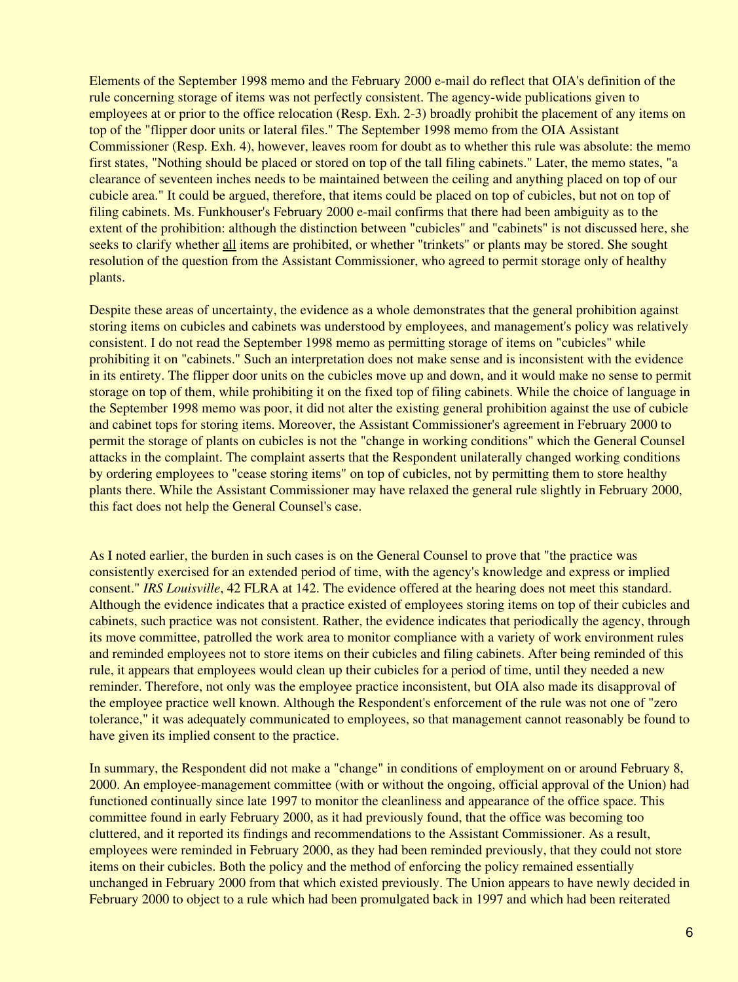Elements of the September 1998 memo and the February 2000 e-mail do reflect that OIA's definition of the rule concerning storage of items was not perfectly consistent. The agency-wide publications given to employees at or prior to the office relocation (Resp. Exh. 2-3) broadly prohibit the placement of any items on top of the "flipper door units or lateral files." The September 1998 memo from the OIA Assistant Commissioner (Resp. Exh. 4), however, leaves room for doubt as to whether this rule was absolute: the memo first states, "Nothing should be placed or stored on top of the tall filing cabinets." Later, the memo states, "a clearance of seventeen inches needs to be maintained between the ceiling and anything placed on top of our cubicle area." It could be argued, therefore, that items could be placed on top of cubicles, but not on top of filing cabinets. Ms. Funkhouser's February 2000 e-mail confirms that there had been ambiguity as to the extent of the prohibition: although the distinction between "cubicles" and "cabinets" is not discussed here, she seeks to clarify whether all items are prohibited, or whether "trinkets" or plants may be stored. She sought resolution of the question from the Assistant Commissioner, who agreed to permit storage only of healthy plants.

Despite these areas of uncertainty, the evidence as a whole demonstrates that the general prohibition against storing items on cubicles and cabinets was understood by employees, and management's policy was relatively consistent. I do not read the September 1998 memo as permitting storage of items on "cubicles" while prohibiting it on "cabinets." Such an interpretation does not make sense and is inconsistent with the evidence in its entirety. The flipper door units on the cubicles move up and down, and it would make no sense to permit storage on top of them, while prohibiting it on the fixed top of filing cabinets. While the choice of language in the September 1998 memo was poor, it did not alter the existing general prohibition against the use of cubicle and cabinet tops for storing items. Moreover, the Assistant Commissioner's agreement in February 2000 to permit the storage of plants on cubicles is not the "change in working conditions" which the General Counsel attacks in the complaint. The complaint asserts that the Respondent unilaterally changed working conditions by ordering employees to "cease storing items" on top of cubicles, not by permitting them to store healthy plants there. While the Assistant Commissioner may have relaxed the general rule slightly in February 2000, this fact does not help the General Counsel's case.

As I noted earlier, the burden in such cases is on the General Counsel to prove that "the practice was consistently exercised for an extended period of time, with the agency's knowledge and express or implied consent." *IRS Louisville*, 42 FLRA at 142. The evidence offered at the hearing does not meet this standard. Although the evidence indicates that a practice existed of employees storing items on top of their cubicles and cabinets, such practice was not consistent. Rather, the evidence indicates that periodically the agency, through its move committee, patrolled the work area to monitor compliance with a variety of work environment rules and reminded employees not to store items on their cubicles and filing cabinets. After being reminded of this rule, it appears that employees would clean up their cubicles for a period of time, until they needed a new reminder. Therefore, not only was the employee practice inconsistent, but OIA also made its disapproval of the employee practice well known. Although the Respondent's enforcement of the rule was not one of "zero tolerance," it was adequately communicated to employees, so that management cannot reasonably be found to have given its implied consent to the practice.

In summary, the Respondent did not make a "change" in conditions of employment on or around February 8, 2000. An employee-management committee (with or without the ongoing, official approval of the Union) had functioned continually since late 1997 to monitor the cleanliness and appearance of the office space. This committee found in early February 2000, as it had previously found, that the office was becoming too cluttered, and it reported its findings and recommendations to the Assistant Commissioner. As a result, employees were reminded in February 2000, as they had been reminded previously, that they could not store items on their cubicles. Both the policy and the method of enforcing the policy remained essentially unchanged in February 2000 from that which existed previously. The Union appears to have newly decided in February 2000 to object to a rule which had been promulgated back in 1997 and which had been reiterated